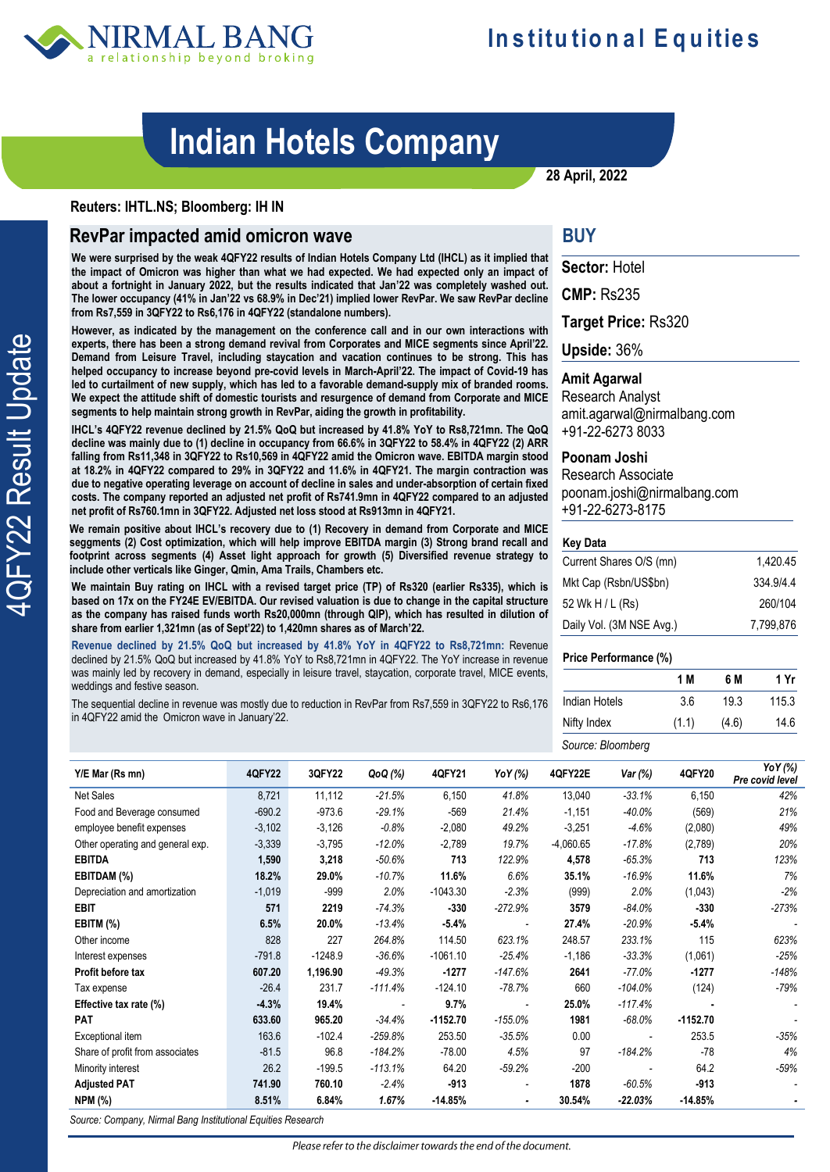

# **Indian Hotels Company**

**28 April, 2022**

### **Reuters: IHTL.NS; Bloomberg: IH IN**

## **RevPar impacted amid omicron wave**

**We were surprised by the weak 4QFY22 results of Indian Hotels Company Ltd (IHCL) as it implied that the impact of Omicron was higher than what we had expected. We had expected only an impact of about a fortnight in January 2022, but the results indicated that Jan'22 was completely washed out. The lower occupancy (41% in Jan'22 vs 68.9% in Dec'21) implied lower RevPar. We saw RevPar decline from Rs7,559 in 3QFY22 to Rs6,176 in 4QFY22 (standalone numbers).**

**However, as indicated by the management on the conference call and in our own interactions with experts, there has been a strong demand revival from Corporates and MICE segments since April'22. Demand from Leisure Travel, including staycation and vacation continues to be strong. This has helped occupancy to increase beyond pre-covid levels in March-April'22. The impact of Covid-19 has led to curtailment of new supply, which has led to a favorable demand-supply mix of branded rooms. We expect the attitude shift of domestic tourists and resurgence of demand from Corporate and MICE segments to help maintain strong growth in RevPar, aiding the growth in profitability.** 

**IHCL's 4QFY22 revenue declined by 21.5% QoQ but increased by 41.8% YoY to Rs8,721mn. The QoQ decline was mainly due to (1) decline in occupancy from 66.6% in 3QFY22 to 58.4% in 4QFY22 (2) ARR falling from Rs11,348 in 3QFY22 to Rs10,569 in 4QFY22 amid the Omicron wave. EBITDA margin stood at 18.2% in 4QFY22 compared to 29% in 3QFY22 and 11.6% in 4QFY21. The margin contraction was due to negative operating leverage on account of decline in sales and under-absorption of certain fixed costs. The company reported an adjusted net profit of Rs741.9mn in 4QFY22 compared to an adjusted net profit of Rs760.1mn in 3QFY22. Adjusted net loss stood at Rs913mn in 4QFY21.** 

**We remain positive about IHCL's recovery due to (1) Recovery in demand from Corporate and MICE seggments (2) Cost optimization, which will help improve EBITDA margin (3) Strong brand recall and footprint across segments (4) Asset light approach for growth (5) Diversified revenue strategy to include other verticals like Ginger, Qmin, Ama Trails, Chambers etc.**

**We maintain Buy rating on IHCL with a revised target price (TP) of Rs320 (earlier Rs335), which is based on 17x on the FY24E EV/EBITDA. Our revised valuation is due to change in the capital structure as the company has raised funds worth Rs20,000mn (through QIP), which has resulted in dilution of share from earlier 1,321mn (as of Sept'22) to 1,420mn shares as of March'22.** 

**Revenue declined by 21.5% QoQ but increased by 41.8% YoY in 4QFY22 to Rs8,721mn:** Revenue declined by 21.5% QoQ but increased by 41.8% YoY to Rs8,721mn in 4QFY22. The YoY increase in revenue was mainly led by recovery in demand, especially in leisure travel, staycation, corporate travel, MICE events, weddings and festive season.

The sequential decline in revenue was mostly due to reduction in RevPar from Rs7,559 in 3QFY22 to Rs6,176 in 4QFY22 amid the Omicron wave in January'22.

## **BUY**

**Sector:** Hotel

**CMP:** Rs235

**Target Price:** Rs320

**Upside:** 36%

### **Amit Agarwal**

Research Analyst amit.agarwal@nirmalbang.com +91-22-6273 8033

#### **Poonam Joshi**

Research Associate [poonam.joshi@nirmalbang.com](mailto:poonam.joshi@nirmalbang.com) +91-22-6273-8175

#### **Key Data**

| Current Shares O/S (mn)  | 1.420.45  |
|--------------------------|-----------|
| Mkt Cap (Rsbn/US\$bn)    | 334.9/4.4 |
| 52 Wk H / L (Rs)         | 260/104   |
| Daily Vol. (3M NSE Avg.) | 7.799.876 |

#### **Price Performance (%)**

|                   | 1 M   | 6 M   | 1 Yr  |
|-------------------|-------|-------|-------|
| Indian Hotels     | 3.6   | 19.3  | 115.3 |
| Nifty Index       | (1.1) | (4.6) | 14.6  |
| Source: Bloomberg |       |       |       |

| Y/E Mar (Rs mn)                  | <b>4QFY22</b> | 3QFY22    | QoQ (%)   | 4QFY21     | YoY (%)                  | 4QFY22E     | Var (%)                  | 4QFY20     | YoY (%)<br>Pre covid level |
|----------------------------------|---------------|-----------|-----------|------------|--------------------------|-------------|--------------------------|------------|----------------------------|
| <b>Net Sales</b>                 | 8,721         | 11,112    | $-21.5%$  | 6,150      | 41.8%                    | 13,040      | $-33.1%$                 | 6,150      | 42%                        |
| Food and Beverage consumed       | $-690.2$      | $-973.6$  | $-29.1%$  | $-569$     | 21.4%                    | $-1,151$    | $-40.0%$                 | (569)      | 21%                        |
| employee benefit expenses        | $-3,102$      | $-3,126$  | $-0.8%$   | $-2,080$   | 49.2%                    | $-3,251$    | $-4.6%$                  | (2,080)    | 49%                        |
| Other operating and general exp. | $-3,339$      | $-3,795$  | $-12.0%$  | $-2,789$   | 19.7%                    | $-4,060.65$ | $-17.8%$                 | (2,789)    | 20%                        |
| <b>EBITDA</b>                    | 1,590         | 3,218     | $-50.6%$  | 713        | 122.9%                   | 4,578       | $-65.3%$                 | 713        | 123%                       |
| EBITDAM (%)                      | 18.2%         | 29.0%     | $-10.7%$  | 11.6%      | 6.6%                     | 35.1%       | $-16.9%$                 | 11.6%      | 7%                         |
| Depreciation and amortization    | $-1,019$      | $-999$    | 2.0%      | $-1043.30$ | $-2.3%$                  | (999)       | 2.0%                     | (1,043)    | $-2%$                      |
| <b>EBIT</b>                      | 571           | 2219      | $-74.3%$  | $-330$     | $-272.9%$                | 3579        | $-84.0%$                 | $-330$     | $-273%$                    |
| EBITM (%)                        | 6.5%          | 20.0%     | $-13.4%$  | $-5.4%$    | $\overline{\phantom{a}}$ | 27.4%       | $-20.9%$                 | $-5.4%$    |                            |
| Other income                     | 828           | 227       | 264.8%    | 114.50     | 623.1%                   | 248.57      | 233.1%                   | 115        | 623%                       |
| Interest expenses                | $-791.8$      | $-1248.9$ | $-36.6%$  | $-1061.10$ | $-25.4%$                 | $-1,186$    | $-33.3%$                 | (1,061)    | $-25%$                     |
| Profit before tax                | 607.20        | 1,196.90  | $-49.3%$  | $-1277$    | $-147.6%$                | 2641        | $-77.0%$                 | $-1277$    | $-148%$                    |
| Tax expense                      | $-26.4$       | 231.7     | $-111.4%$ | $-124.10$  | $-78.7%$                 | 660         | $-104.0%$                | (124)      | -79%                       |
| Effective tax rate (%)           | $-4.3%$       | 19.4%     |           | 9.7%       | $\overline{a}$           | 25.0%       | $-117.4%$                |            |                            |
| <b>PAT</b>                       | 633.60        | 965.20    | $-34.4%$  | $-1152.70$ | $-155.0%$                | 1981        | $-68.0%$                 | $-1152.70$ |                            |
| Exceptional item                 | 163.6         | $-102.4$  | $-259.8%$ | 253.50     | $-35.5%$                 | 0.00        | $\overline{\phantom{a}}$ | 253.5      | $-35%$                     |
| Share of profit from associates  | $-81.5$       | 96.8      | $-184.2%$ | $-78.00$   | 4.5%                     | 97          | $-184.2%$                | $-78$      | 4%                         |
| Minority interest                | 26.2          | $-199.5$  | $-113.1%$ | 64.20      | $-59.2%$                 | $-200$      | $\overline{a}$           | 64.2       | $-59%$                     |
| <b>Adjusted PAT</b>              | 741.90        | 760.10    | $-2.4%$   | $-913$     | $\overline{\phantom{a}}$ | 1878        | $-60.5%$                 | $-913$     |                            |
| <b>NPM (%)</b>                   | 8.51%         | 6.84%     | 1.67%     | $-14.85%$  | $\blacksquare$           | 30.54%      | $-22.03%$                | $-14.85%$  |                            |

*Source: Company, Nirmal Bang Institutional Equities Research*

**IQFY22 Result Update** 4QFY22 Result Update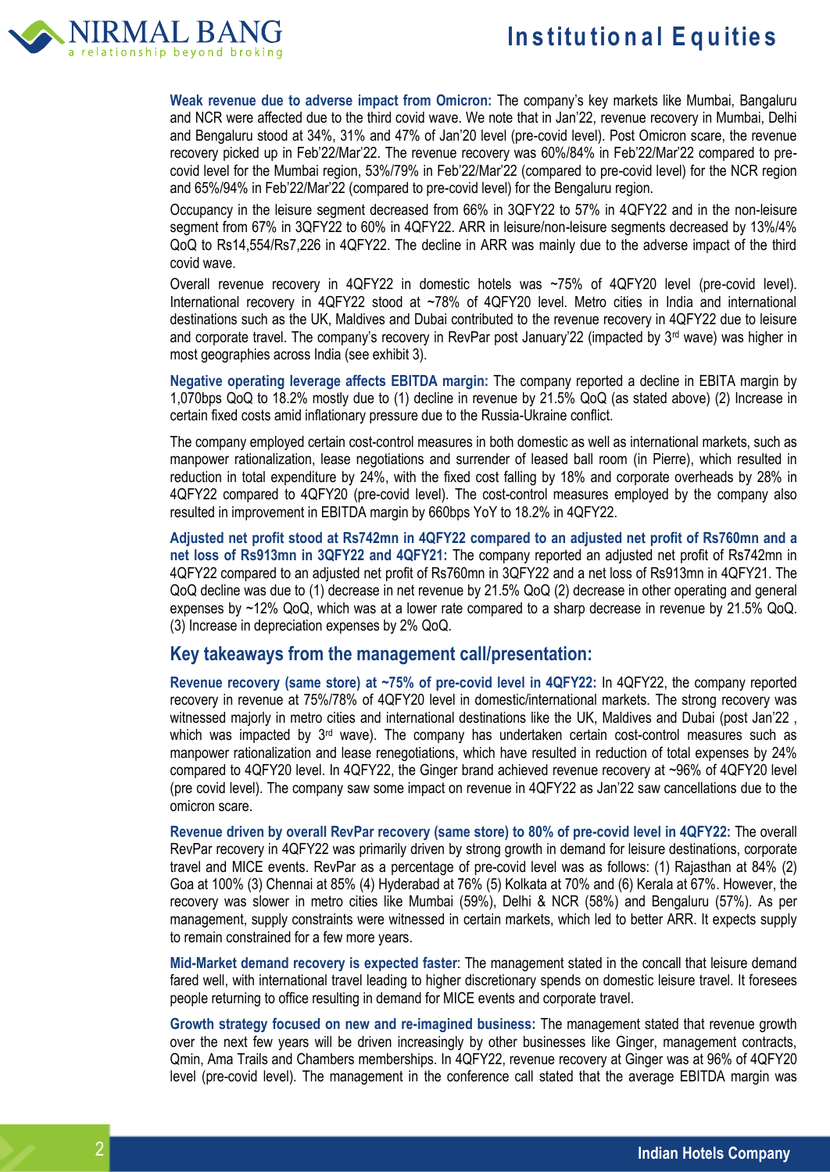

**Weak revenue due to adverse impact from Omicron:** The company's key markets like Mumbai, Bangaluru and NCR were affected due to the third covid wave. We note that in Jan'22, revenue recovery in Mumbai, Delhi and Bengaluru stood at 34%, 31% and 47% of Jan'20 level (pre-covid level). Post Omicron scare, the revenue recovery picked up in Feb'22/Mar'22. The revenue recovery was 60%/84% in Feb'22/Mar'22 compared to precovid level for the Mumbai region, 53%/79% in Feb'22/Mar'22 (compared to pre-covid level) for the NCR region and 65%/94% in Feb'22/Mar'22 (compared to pre-covid level) for the Bengaluru region.

Occupancy in the leisure segment decreased from 66% in 3QFY22 to 57% in 4QFY22 and in the non-leisure segment from 67% in 3QFY22 to 60% in 4QFY22. ARR in leisure/non-leisure segments decreased by 13%/4% QoQ to Rs14,554/Rs7,226 in 4QFY22. The decline in ARR was mainly due to the adverse impact of the third covid wave.

Overall revenue recovery in 4QFY22 in domestic hotels was ~75% of 4QFY20 level (pre-covid level). International recovery in 4QFY22 stood at ~78% of 4QFY20 level. Metro cities in India and international destinations such as the UK, Maldives and Dubai contributed to the revenue recovery in 4QFY22 due to leisure and corporate travel. The company's recovery in RevPar post January'22 (impacted by 3<sup>rd</sup> wave) was higher in most geographies across India (see exhibit 3).

**Negative operating leverage affects EBITDA margin:** The company reported a decline in EBITA margin by 1,070bps QoQ to 18.2% mostly due to (1) decline in revenue by 21.5% QoQ (as stated above) (2) Increase in certain fixed costs amid inflationary pressure due to the Russia-Ukraine conflict.

The company employed certain cost-control measures in both domestic as well as international markets, such as manpower rationalization, lease negotiations and surrender of leased ball room (in Pierre), which resulted in reduction in total expenditure by 24%, with the fixed cost falling by 18% and corporate overheads by 28% in 4QFY22 compared to 4QFY20 (pre-covid level). The cost-control measures employed by the company also resulted in improvement in EBITDA margin by 660bps YoY to 18.2% in 4QFY22.

**Adjusted net profit stood at Rs742mn in 4QFY22 compared to an adjusted net profit of Rs760mn and a net loss of Rs913mn in 3QFY22 and 4QFY21:** The company reported an adjusted net profit of Rs742mn in 4QFY22 compared to an adjusted net profit of Rs760mn in 3QFY22 and a net loss of Rs913mn in 4QFY21. The QoQ decline was due to (1) decrease in net revenue by 21.5% QoQ (2) decrease in other operating and general expenses by ~12% QoQ, which was at a lower rate compared to a sharp decrease in revenue by 21.5% QoQ. (3) Increase in depreciation expenses by 2% QoQ.

## **Key takeaways from the management call/presentation:**

**Revenue recovery (same store) at ~75% of pre-covid level in 4QFY22:** In 4QFY22, the company reported recovery in revenue at 75%/78% of 4QFY20 level in domestic/international markets. The strong recovery was witnessed majorly in metro cities and international destinations like the UK, Maldives and Dubai (post Jan'22 , which was impacted by  $3<sup>rd</sup>$  wave). The company has undertaken certain cost-control measures such as manpower rationalization and lease renegotiations, which have resulted in reduction of total expenses by 24% compared to 4QFY20 level. In 4QFY22, the Ginger brand achieved revenue recovery at ~96% of 4QFY20 level (pre covid level). The company saw some impact on revenue in 4QFY22 as Jan'22 saw cancellations due to the omicron scare.

**Revenue driven by overall RevPar recovery (same store) to 80% of pre-covid level in 4QFY22:** The overall RevPar recovery in 4QFY22 was primarily driven by strong growth in demand for leisure destinations, corporate travel and MICE events. RevPar as a percentage of pre-covid level was as follows: (1) Rajasthan at 84% (2) Goa at 100% (3) Chennai at 85% (4) Hyderabad at 76% (5) Kolkata at 70% and (6) Kerala at 67%. However, the recovery was slower in metro cities like Mumbai (59%), Delhi & NCR (58%) and Bengaluru (57%). As per management, supply constraints were witnessed in certain markets, which led to better ARR. It expects supply to remain constrained for a few more years.

**Mid-Market demand recovery is expected faster**: The management stated in the concall that leisure demand fared well, with international travel leading to higher discretionary spends on domestic leisure travel. It foresees people returning to office resulting in demand for MICE events and corporate travel.

**Growth strategy focused on new and re-imagined business:** The management stated that revenue growth over the next few years will be driven increasingly by other businesses like Ginger, management contracts, Qmin, Ama Trails and Chambers memberships. In 4QFY22, revenue recovery at Ginger was at 96% of 4QFY20 level (pre-covid level). The management in the conference call stated that the average EBITDA margin was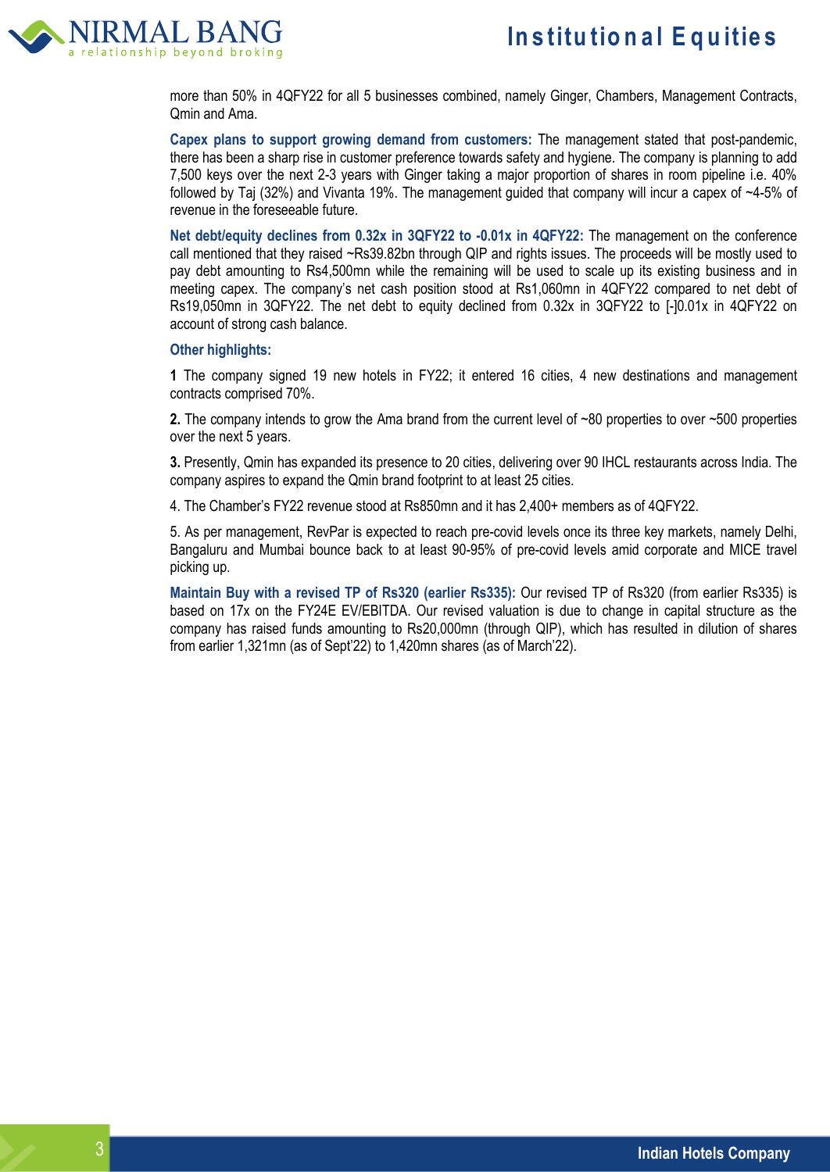

more than 50% in 4QFY22 for all 5 businesses combined, namely Ginger, Chambers, Management Contracts, Qmin and Ama.

**Capex plans to support growing demand from customers:** The management stated that post-pandemic, there has been a sharp rise in customer preference towards safety and hygiene. The company is planning to add 7,500 keys over the next 2-3 years with Ginger taking a major proportion of shares in room pipeline i.e. 40% followed by Taj (32%) and Vivanta 19%. The management guided that company will incur a capex of ~4-5% of revenue in the foreseeable future.

**Net debt/equity declines from 0.32x in 3QFY22 to -0.01x in 4QFY22:** The management on the conference call mentioned that they raised ~Rs39.82bn through QIP and rights issues. The proceeds will be mostly used to pay debt amounting to Rs4,500mn while the remaining will be used to scale up its existing business and in meeting capex. The company's net cash position stood at Rs1,060mn in 4QFY22 compared to net debt of Rs19,050mn in 3QFY22. The net debt to equity declined from 0.32x in 3QFY22 to [-]0.01x in 4QFY22 on account of strong cash balance.

### **Other highlights:**

**1** The company signed 19 new hotels in FY22; it entered 16 cities, 4 new destinations and management contracts comprised 70%.

**2.** The company intends to grow the Ama brand from the current level of ~80 properties to over ~500 properties over the next 5 years.

**3.** Presently, Qmin has expanded its presence to 20 cities, delivering over 90 IHCL restaurants across India. The company aspires to expand the Qmin brand footprint to at least 25 cities.

4. The Chamber's FY22 revenue stood at Rs850mn and it has 2,400+ members as of 4QFY22.

5. As per management, RevPar is expected to reach pre-covid levels once its three key markets, namely Delhi, Bangaluru and Mumbai bounce back to at least 90-95% of pre-covid levels amid corporate and MICE travel picking up.

**Maintain Buy with a revised TP of Rs320 (earlier Rs335):** Our revised TP of Rs320 (from earlier Rs335) is based on 17x on the FY24E EV/EBITDA. Our revised valuation is due to change in capital structure as the company has raised funds amounting to Rs20,000mn (through QIP), which has resulted in dilution of shares from earlier 1,321mn (as of Sept'22) to 1,420mn shares (as of March'22).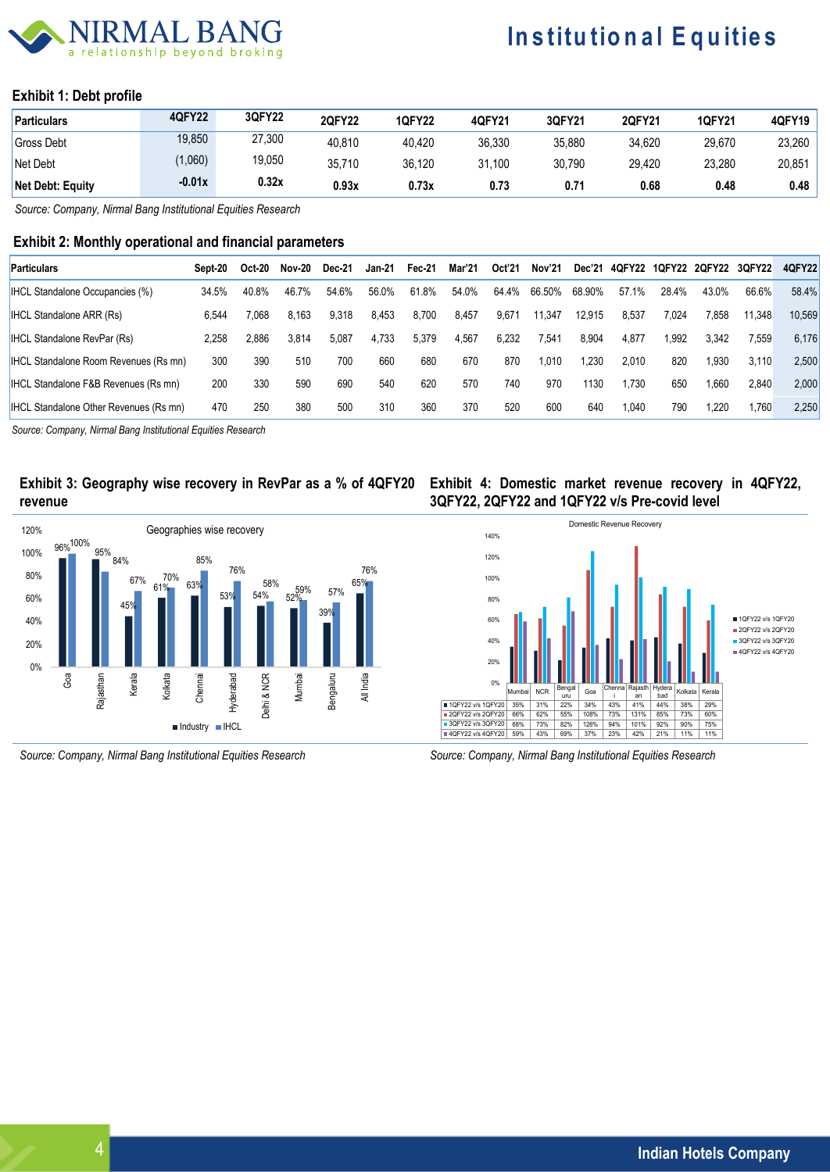## BAN in hevond broking

# **Institutional Equities**

### **Exhibit 1: Debt profile**

| <b>Particulars</b> | 4QFY22   | 3QFY22 | <b>2QFY22</b> | <b>1QFY22</b> | 4QFY21 | 3QFY21 | 2QFY21 | <b>1QFY21</b> | 4QFY19 |
|--------------------|----------|--------|---------------|---------------|--------|--------|--------|---------------|--------|
| <b>Gross Debt</b>  | 19,850   | 27,300 | 40.810        | 40.420        | 36.330 | 35.880 | 34.620 | 29.670        | 23,260 |
| Net Debt           | (1,060)  | 19,050 | 35.710        | 36.120        | 31.100 | 30.790 | 29.420 | 23.280        | 20,851 |
| Net Debt: Equity   | $-0.01x$ | 0.32x  | 0.93x         | 0.73x         | 0.73   | 0.71   | 0.68   | 0.48          | 0.48   |

*Source: Company, Nirmal Bang Institutional Equities Research* 

## **Exhibit 2: Monthly operational and financial parameters**

| <b>Particulars</b>                              | Sept-20 | Oct-20 | Nov-20 | Dec-21 | <b>Jan-21</b> | Fec-21 | Mar'21 | Oct'21 | Nov'21 | Dec'21 | 4QFY22 | 1QFY22 | <b>2QFY22</b> | 3QFY22 | 4QFY22 |
|-------------------------------------------------|---------|--------|--------|--------|---------------|--------|--------|--------|--------|--------|--------|--------|---------------|--------|--------|
| <b>IHCL Standalone Occupancies (%)</b>          | 34.5%   | 40.8%  | 46.7%  | 54.6%  | 56.0%         | 61.8%  | 54.0%  | 64.4%  | 66.50% | 68.90% | 57.1%  | 28.4%  | 43.0%         | 66.6%  | 58.4%  |
| <b>IHCL Standalone ARR (Rs)</b>                 | 6.544   | 7.068  | 8.163  | 9,318  | 8.453         | 8.700  | 8.457  | 9.671  | 11.347 | 12.915 | 8.537  | 7.024  | 7.858         | 11.348 | 10.569 |
| <b>IHCL Standalone RevPar (Rs)</b>              | 2.258   | 2.886  | 3.814  | 5,087  | 4.733         | 5,379  | 4,567  | 6.232  | 7,541  | 8.904  | 4.877  | .992   | 3,342         | 7.559  | 6.176  |
| <b>IHCL Standalone Room Revenues (Rs mn)</b>    | 300     | 390    | 510    | 700    | 660           | 680    | 670    | 870    | 1,010  | 1.230  | 2.010  | 820    | .930          | 3.110  | 2,500  |
| <b>IHCL Standalone F&amp;B Revenues (Rs mn)</b> | 200     | 330    | 590    | 690    | 540           | 620    | 570    | 740    | 970    | 1130   | .730   | 650    | .660          | 2.840  | 2,000  |
| <b>IHCL Standalone Other Revenues (Rs mn)</b>   | 470     | 250    | 380    | 500    | 310           | 360    | 370    | 520    | 600    | 640    | 1.040  | 790    | .220          | 1,760  | 2,250  |

*Source: Company, Nirmal Bang Institutional Equities Research*

## **Exhibit 3: Geography wise recovery in RevPar as a % of 4QFY20 revenue**



**Exhibit 4: Domestic market revenue recovery in 4QFY22, 3QFY22, 2QFY22 and 1QFY22 v/s Pre-covid level**



*Source: Company, Nirmal Bang Institutional Equities Research Source: Company, Nirmal Bang Institutional Equities Research*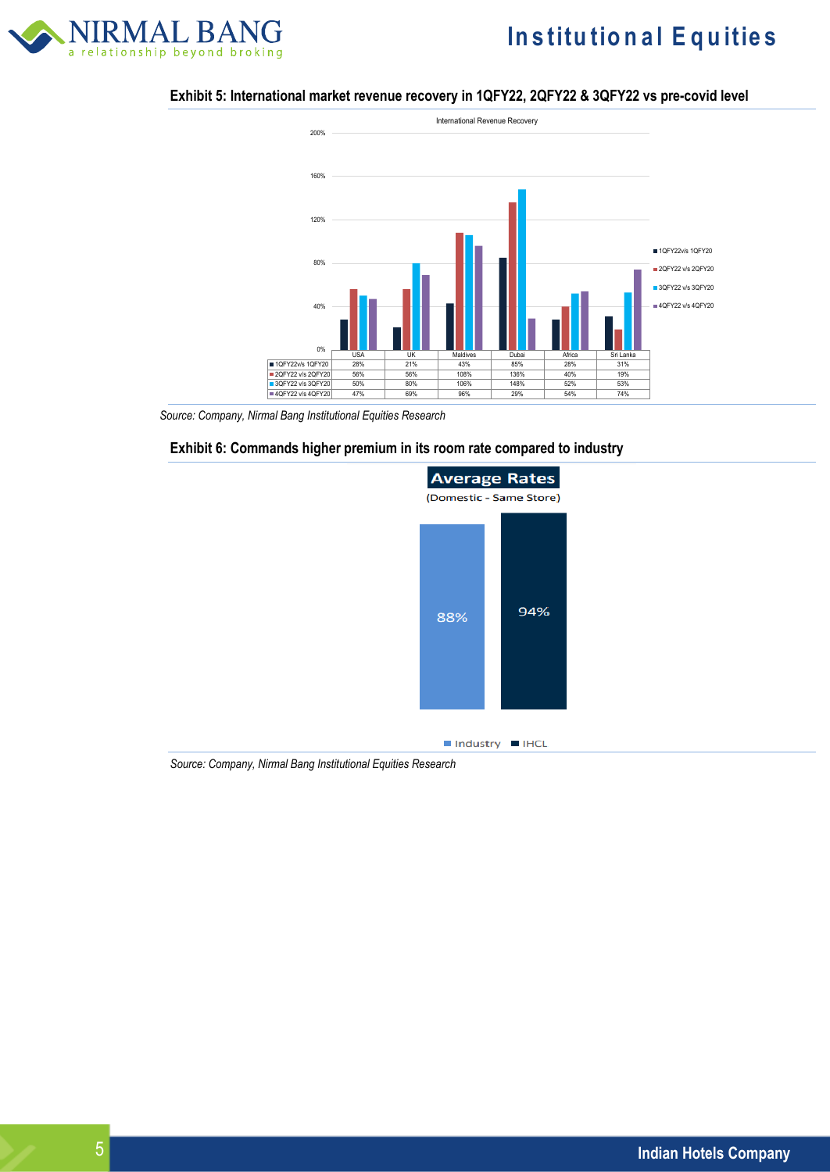

# **Institutional Equities**

### **Exhibit 5: International market revenue recovery in 1QFY22, 2QFY22 & 3QFY22 vs pre-covid level**



 *Source: Company, Nirmal Bang Institutional Equities Research*





 $\blacksquare$  Industry  $\blacksquare$  IHCL

*Source: Company, Nirmal Bang Institutional Equities Research*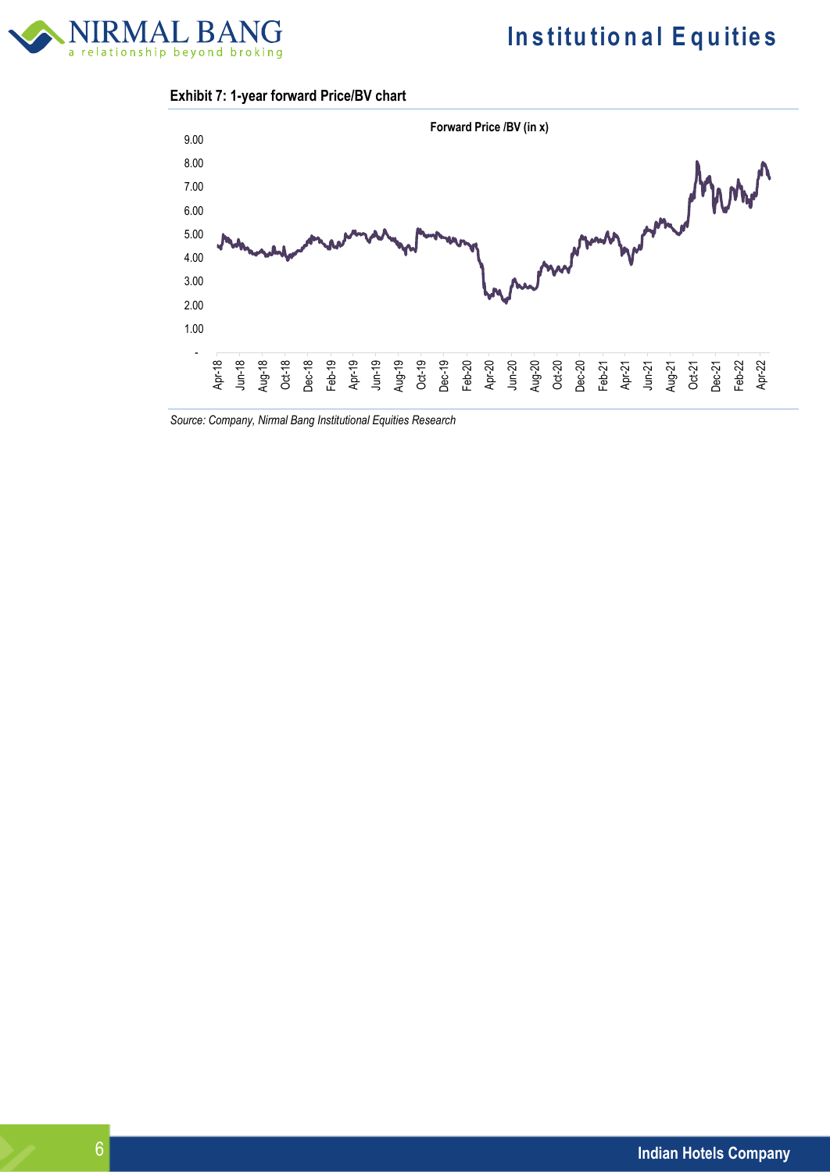

## **Exhibit 7: 1-year forward Price/BV chart**



*Source: Company, Nirmal Bang Institutional Equities Research*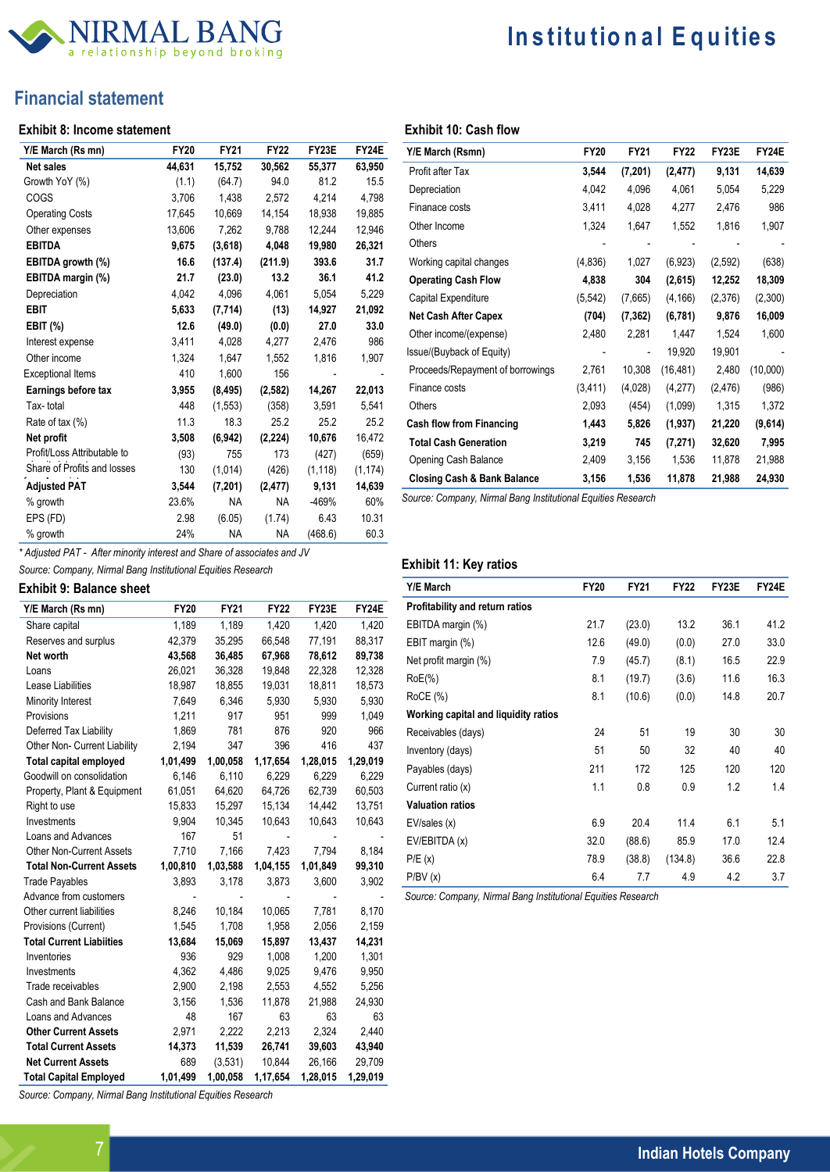

# **In s titu tio n a l E q u itie s**

## **Financial statement**

#### **Exhibit 8: Income statement**

| Y/E March (Rs mn)           | <b>FY20</b> | <b>FY21</b> | <b>FY22</b> | FY23E    | FY24E    |
|-----------------------------|-------------|-------------|-------------|----------|----------|
| <b>Net sales</b>            | 44,631      | 15,752      | 30,562      | 55,377   | 63,950   |
| Growth YoY (%)              | (1.1)       | (64.7)      | 94.0        | 81.2     | 15.5     |
| COGS                        | 3.706       | 1.438       | 2.572       | 4,214    | 4,798    |
| <b>Operating Costs</b>      | 17,645      | 10,669      | 14,154      | 18,938   | 19,885   |
| Other expenses              | 13,606      | 7,262       | 9,788       | 12,244   | 12,946   |
| <b>EBITDA</b>               | 9,675       | (3,618)     | 4,048       | 19,980   | 26,321   |
| EBITDA growth (%)           | 16.6        | (137.4)     | (211.9)     | 393.6    | 31.7     |
| EBITDA margin (%)           | 21.7        | (23.0)      | 13.2        | 36.1     | 41.2     |
| Depreciation                | 4,042       | 4,096       | 4,061       | 5,054    | 5,229    |
| EBIT                        | 5,633       | (7,714)     | (13)        | 14,927   | 21,092   |
| EBIT (%)                    | 12.6        | (49.0)      | (0.0)       | 27.0     | 33.0     |
| Interest expense            | 3.411       | 4,028       | 4,277       | 2,476    | 986      |
| Other income                | 1,324       | 1,647       | 1,552       | 1,816    | 1,907    |
| <b>Exceptional Items</b>    | 410         | 1,600       | 156         |          |          |
| Earnings before tax         | 3,955       | (8, 495)    | (2, 582)    | 14,267   | 22,013   |
| Tax-total                   | 448         | (1, 553)    | (358)       | 3,591    | 5,541    |
| Rate of tax (%)             | 11.3        | 18.3        | 25.2        | 25.2     | 25.2     |
| Net profit                  | 3,508       | (6, 942)    | (2, 224)    | 10,676   | 16,472   |
| Profit/Loss Attributable to | (93)        | 755         | 173         | (427)    | (659)    |
| Share of Profits and losses | 130         | (1,014)     | (426)       | (1, 118) | (1, 174) |
| <b>Adjusted PAT</b>         | 3,544       | (7, 201)    | (2, 477)    | 9,131    | 14,639   |
| % growth                    | 23.6%       | ΝA          | NA          | -469%    | 60%      |
| EPS (FD)                    | 2.98        | (6.05)      | (1.74)      | 6.43     | 10.31    |
| % growth                    | 24%         | NA          | <b>NA</b>   | (468.6)  | 60.3     |

| Y/E March (Rsmn)                       | <b>FY20</b> | <b>FY21</b>              | <b>FY22</b> | FY23E    | FY24E    |
|----------------------------------------|-------------|--------------------------|-------------|----------|----------|
| Profit after Tax                       | 3,544       | (7, 201)                 | (2, 477)    | 9,131    | 14,639   |
| Depreciation                           | 4,042       | 4,096                    | 4,061       | 5,054    | 5,229    |
| Finanace costs                         | 3,411       | 4,028                    | 4,277       | 2,476    | 986      |
| Other Income                           | 1,324       | 1,647                    | 1,552       | 1,816    | 1,907    |
| Others                                 |             |                          |             |          |          |
| Working capital changes                | (4,836)     | 1,027                    | (6,923)     | (2,592)  | (638)    |
| <b>Operating Cash Flow</b>             | 4,838       | 304                      | (2,615)     | 12,252   | 18,309   |
| Capital Expenditure                    | (5, 542)    | (7,665)                  | (4, 166)    | (2,376)  | (2,300)  |
| <b>Net Cash After Capex</b>            | (704)       | (7, 362)                 | (6,781)     | 9,876    | 16,009   |
| Other income/(expense)                 | 2,480       | 2,281                    | 1,447       | 1,524    | 1,600    |
| Issue/(Buyback of Equity)              |             | $\overline{\phantom{a}}$ | 19,920      | 19,901   |          |
| Proceeds/Repayment of borrowings       | 2,761       | 10,308                   | (16, 481)   | 2,480    | (10,000) |
| Finance costs                          | (3, 411)    | (4,028)                  | (4,277)     | (2, 476) | (986)    |
| Others                                 | 2,093       | (454)                    | (1,099)     | 1,315    | 1,372    |
| <b>Cash flow from Financing</b>        | 1,443       | 5,826                    | (1, 937)    | 21,220   | (9,614)  |
| <b>Total Cash Generation</b>           | 3,219       | 745                      | (7, 271)    | 32,620   | 7,995    |
| Opening Cash Balance                   | 2,409       | 3,156                    | 1,536       | 11,878   | 21,988   |
| <b>Closing Cash &amp; Bank Balance</b> | 3,156       | 1,536                    | 11,878      | 21,988   | 24,930   |
|                                        |             |                          |             |          |          |

*Source: Company, Nirmal Bang Institutional Equities Research*

## *\* Adjusted PAT - After minority interest and Share of associates and JV*

*Source: Company, Nirmal Bang Institutional Equities Research* 

### **Exhibit 9: Balance sheet**

| Y/E March (Rs mn)               | <b>FY20</b> | <b>FY21</b> | <b>FY22</b> | FY23E    | FY24E    |
|---------------------------------|-------------|-------------|-------------|----------|----------|
| Share capital                   | 1,189       | 1,189       | 1,420       | 1,420    | 1,420    |
| Reserves and surplus            | 42,379      | 35,295      | 66,548      | 77,191   | 88,317   |
| Net worth                       | 43,568      | 36,485      | 67,968      | 78,612   | 89,738   |
| Loans                           | 26,021      | 36,328      | 19,848      | 22,328   | 12,328   |
| Lease Liabilities               | 18,987      | 18,855      | 19,031      | 18,811   | 18,573   |
| Minority Interest               | 7,649       | 6,346       | 5,930       | 5,930    | 5,930    |
| Provisions                      | 1,211       | 917         | 951         | 999      | 1,049    |
| Deferred Tax Liability          | 1,869       | 781         | 876         | 920      | 966      |
| Other Non- Current Liability    | 2,194       | 347         | 396         | 416      | 437      |
| <b>Total capital employed</b>   | 1,01,499    | 1,00,058    | 1,17,654    | 1,28,015 | 1,29,019 |
| Goodwill on consolidation       | 6,146       | 6,110       | 6,229       | 6,229    | 6,229    |
| Property, Plant & Equipment     | 61,051      | 64,620      | 64,726      | 62,739   | 60,503   |
| Right to use                    | 15,833      | 15,297      | 15,134      | 14,442   | 13,751   |
| Investments                     | 9,904       | 10,345      | 10,643      | 10,643   | 10,643   |
| Loans and Advances              | 167         | 51          |             |          |          |
| <b>Other Non-Current Assets</b> | 7,710       | 7,166       | 7,423       | 7.794    | 8,184    |
| <b>Total Non-Current Assets</b> | 1,00,810    | 1,03,588    | 1,04,155    | 1,01,849 | 99,310   |
| <b>Trade Payables</b>           | 3,893       | 3,178       | 3,873       | 3,600    | 3,902    |
| Advance from customers          |             |             |             |          |          |
| Other current liabilities       | 8,246       | 10,184      | 10,065      | 7,781    | 8,170    |
| Provisions (Current)            | 1,545       | 1,708       | 1,958       | 2,056    | 2,159    |
| <b>Total Current Liabiities</b> | 13,684      | 15,069      | 15,897      | 13,437   | 14,231   |
| Inventories                     | 936         | 929         | 1,008       | 1,200    | 1,301    |
| Investments                     | 4,362       | 4,486       | 9,025       | 9,476    | 9,950    |
| Trade receivables               | 2,900       | 2,198       | 2,553       | 4,552    | 5,256    |
| Cash and Bank Balance           | 3,156       | 1,536       | 11,878      | 21,988   | 24,930   |
| Loans and Advances              | 48          | 167         | 63          | 63       | 63       |
| <b>Other Current Assets</b>     | 2,971       | 2,222       | 2,213       | 2,324    | 2,440    |
| <b>Total Current Assets</b>     | 14,373      | 11,539      | 26,741      | 39,603   | 43,940   |
| <b>Net Current Assets</b>       | 689         | (3,531)     | 10,844      | 26,166   | 29,709   |
| <b>Total Capital Employed</b>   | 1.01.499    | 1,00,058    | 1,17,654    | 1,28,015 | 1,29,019 |

**Exhibit 11: Key ratios** 

**Exhibit 10: Cash flow** 

| <b>Y/E March</b>                     | <b>FY20</b> | <b>FY21</b> | <b>FY22</b> | FY23E | FY24E |
|--------------------------------------|-------------|-------------|-------------|-------|-------|
| Profitability and return ratios      |             |             |             |       |       |
| EBITDA margin (%)                    | 21.7        | (23.0)      | 13.2        | 36.1  | 41.2  |
| EBIT margin (%)                      | 12.6        | (49.0)      | (0.0)       | 27.0  | 33.0  |
| Net profit margin (%)                | 7.9         | (45.7)      | (8.1)       | 16.5  | 22.9  |
| $RoE(\%)$                            | 8.1         | (19.7)      | (3.6)       | 11.6  | 16.3  |
| RoCE (%)                             | 8.1         | (10.6)      | (0.0)       | 14.8  | 20.7  |
| Working capital and liquidity ratios |             |             |             |       |       |
| Receivables (days)                   | 24          | 51          | 19          | 30    | 30    |
| Inventory (days)                     | 51          | 50          | 32          | 40    | 40    |
| Payables (days)                      | 211         | 172         | 125         | 120   | 120   |
| Current ratio (x)                    | 1.1         | 0.8         | 0.9         | 1.2   | 1.4   |
| <b>Valuation ratios</b>              |             |             |             |       |       |
| EV/sales (x)                         | 6.9         | 20.4        | 11.4        | 6.1   | 5.1   |
| EV/EBITDA (x)                        | 32.0        | (88.6)      | 85.9        | 17.0  | 12.4  |
| P/E(x)                               | 78.9        | (38.8)      | (134.8)     | 36.6  | 22.8  |
| P/BV(x)                              | 6.4         | 7.7         | 4.9         | 4.2   | 3.7   |

*Source: Company, Nirmal Bang Institutional Equities Research*

*Source: Company, Nirmal Bang Institutional Equities Research*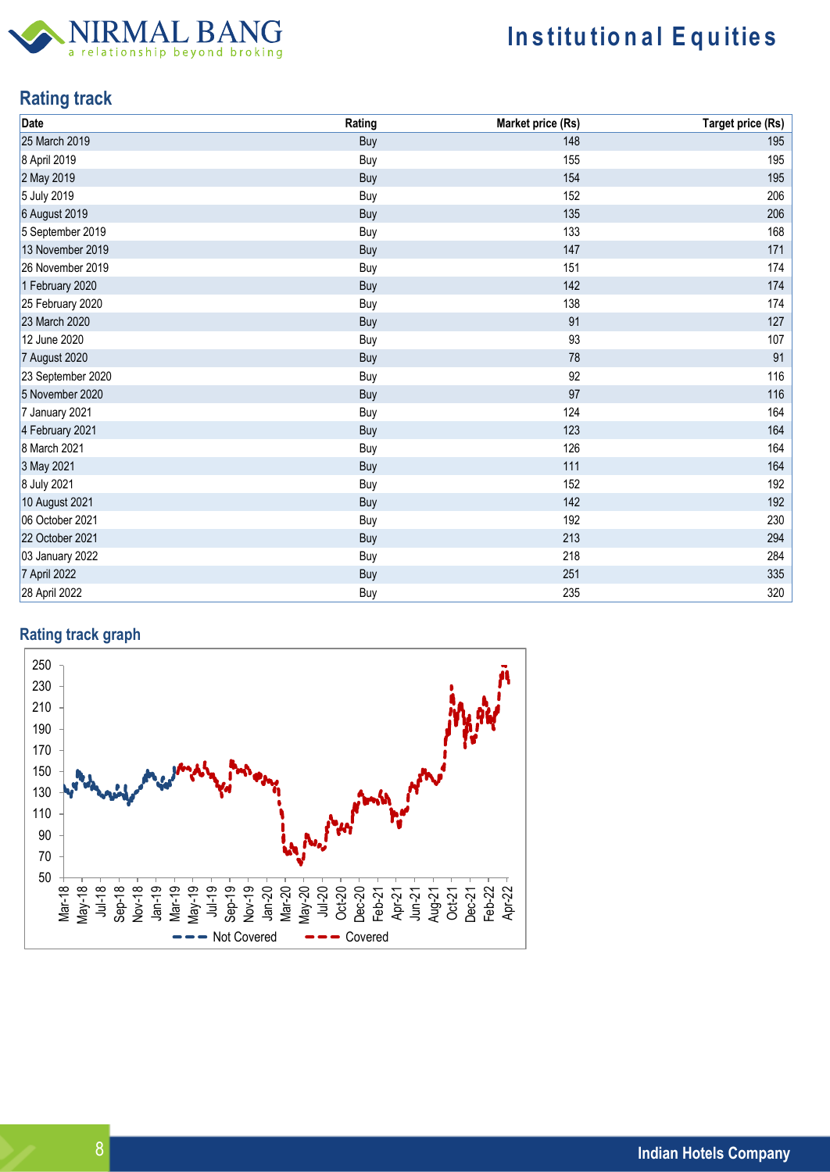

# **Institutional Equities**

## **Rating track**

| Date              | Rating | Market price (Rs) | <b>Target price (Rs)</b> |
|-------------------|--------|-------------------|--------------------------|
| 25 March 2019     | Buy    | 148               | 195                      |
| 8 April 2019      | Buy    | 155               | 195                      |
| 2 May 2019        | Buy    | 154               | 195                      |
| 5 July 2019       | Buy    | 152               | 206                      |
| 6 August 2019     | Buy    | 135               | 206                      |
| 5 September 2019  | Buy    | 133               | 168                      |
| 13 November 2019  | Buy    | 147               | 171                      |
| 26 November 2019  | Buy    | 151               | 174                      |
| 1 February 2020   | Buy    | 142               | 174                      |
| 25 February 2020  | Buy    | 138               | 174                      |
| 23 March 2020     | Buy    | 91                | 127                      |
| 12 June 2020      | Buy    | 93                | 107                      |
| 7 August 2020     | Buy    | 78                | 91                       |
| 23 September 2020 | Buy    | 92                | 116                      |
| 5 November 2020   | Buy    | 97                | 116                      |
| 7 January 2021    | Buy    | 124               | 164                      |
| 4 February 2021   | Buy    | 123               | 164                      |
| 8 March 2021      | Buy    | 126               | 164                      |
| 3 May 2021        | Buy    | 111               | 164                      |
| 8 July 2021       | Buy    | 152               | 192                      |
| 10 August 2021    | Buy    | 142               | 192                      |
| 06 October 2021   | Buy    | 192               | 230                      |
| 22 October 2021   | Buy    | 213               | 294                      |
| 03 January 2022   | Buy    | 218               | 284                      |
| 7 April 2022      | Buy    | 251               | 335                      |
| 28 April 2022     | Buy    | 235               | 320                      |

## **Rating track graph**

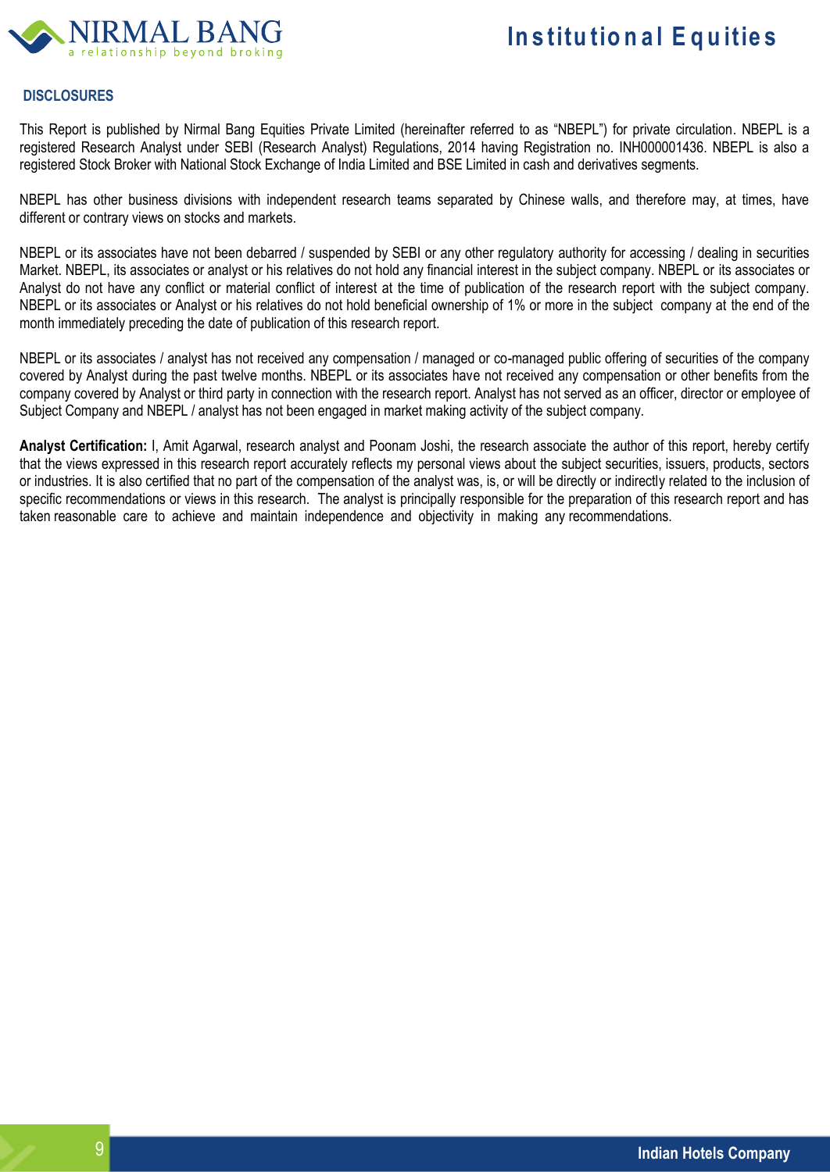

### **DISCLOSURES**

This Report is published by Nirmal Bang Equities Private Limited (hereinafter referred to as "NBEPL") for private circulation. NBEPL is a registered Research Analyst under SEBI (Research Analyst) Regulations, 2014 having Registration no. INH000001436. NBEPL is also a registered Stock Broker with National Stock Exchange of India Limited and BSE Limited in cash and derivatives segments.

NBEPL has other business divisions with independent research teams separated by Chinese walls, and therefore may, at times, have different or contrary views on stocks and markets.

NBEPL or its associates have not been debarred / suspended by SEBI or any other regulatory authority for accessing / dealing in securities Market. NBEPL, its associates or analyst or his relatives do not hold any financial interest in the subject company. NBEPL or its associates or Analyst do not have any conflict or material conflict of interest at the time of publication of the research report with the subject company. NBEPL or its associates or Analyst or his relatives do not hold beneficial ownership of 1% or more in the subject company at the end of the month immediately preceding the date of publication of this research report.

NBEPL or its associates / analyst has not received any compensation / managed or co-managed public offering of securities of the company covered by Analyst during the past twelve months. NBEPL or its associates have not received any compensation or other benefits from the company covered by Analyst or third party in connection with the research report. Analyst has not served as an officer, director or employee of Subject Company and NBEPL / analyst has not been engaged in market making activity of the subject company.

**Analyst Certification:** I, Amit Agarwal, research analyst and Poonam Joshi, the research associate the author of this report, hereby certify that the views expressed in this research report accurately reflects my personal views about the subject securities, issuers, products, sectors or industries. It is also certified that no part of the compensation of the analyst was, is, or will be directly or indirectly related to the inclusion of specific recommendations or views in this research. The analyst is principally responsible for the preparation of this research report and has taken reasonable care to achieve and maintain independence and objectivity in making any recommendations.